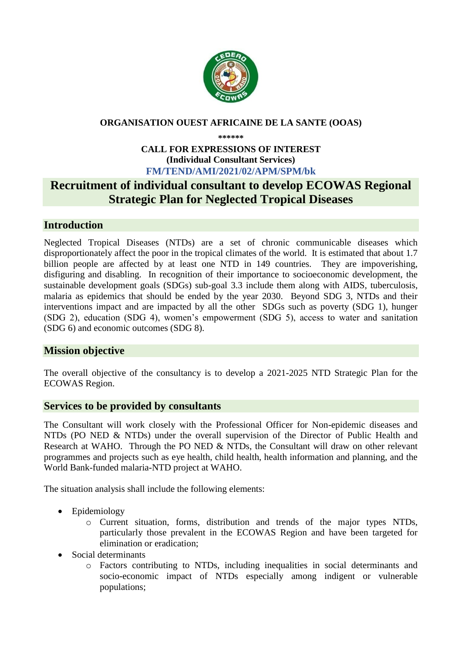

#### **ORGANISATION OUEST AFRICAINE DE LA SANTE (OOAS)**

**\*\*\*\*\*\***

#### **CALL FOR EXPRESSIONS OF INTEREST (Individual Consultant Services) FM/TEND/AMI/2021/02/APM/SPM/bk**

# **Recruitment of individual consultant to develop ECOWAS Regional Strategic Plan for Neglected Tropical Diseases**

# **Introduction**

Neglected Tropical Diseases (NTDs) are a set of chronic communicable diseases which disproportionately affect the poor in the tropical climates of the world. It is estimated that about 1.7 billion people are affected by at least one NTD in 149 countries. They are impoverishing, disfiguring and disabling. In recognition of their importance to socioeconomic development, the sustainable development goals (SDGs) sub-goal 3.3 include them along with AIDS, tuberculosis, malaria as epidemics that should be ended by the year 2030. Beyond SDG 3, NTDs and their interventions impact and are impacted by all the other SDGs such as poverty (SDG 1), hunger (SDG 2), education (SDG 4), women's empowerment (SDG 5), access to water and sanitation (SDG 6) and economic outcomes (SDG 8).

# **Mission objective**

The overall objective of the consultancy is to develop a 2021-2025 NTD Strategic Plan for the ECOWAS Region.

## **Services to be provided by consultants**

The Consultant will work closely with the Professional Officer for Non-epidemic diseases and NTDs (PO NED & NTDs) under the overall supervision of the Director of Public Health and Research at WAHO. Through the PO NED & NTDs, the Consultant will draw on other relevant programmes and projects such as eye health, child health, health information and planning, and the World Bank-funded malaria-NTD project at WAHO.

The situation analysis shall include the following elements:

- Epidemiology
	- o Current situation, forms, distribution and trends of the major types NTDs, particularly those prevalent in the ECOWAS Region and have been targeted for elimination or eradication;
- Social determinants
	- o Factors contributing to NTDs, including inequalities in social determinants and socio-economic impact of NTDs especially among indigent or vulnerable populations;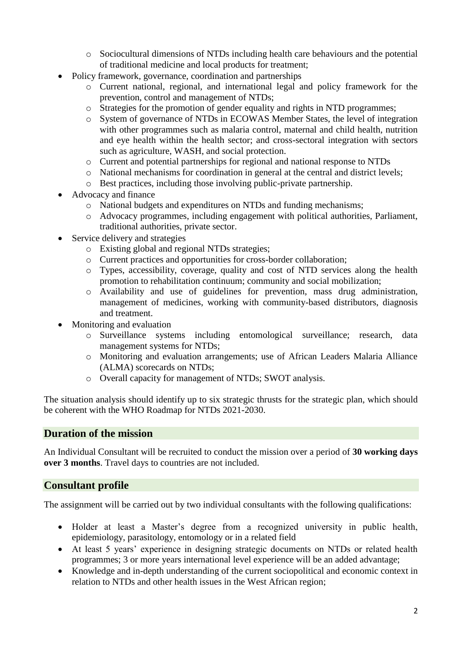- o Sociocultural dimensions of NTDs including health care behaviours and the potential of traditional medicine and local products for treatment;
- Policy framework, governance, coordination and partnerships
	- o Current national, regional, and international legal and policy framework for the prevention, control and management of NTDs;
	- o Strategies for the promotion of gender equality and rights in NTD programmes;
	- o System of governance of NTDs in ECOWAS Member States, the level of integration with other programmes such as malaria control, maternal and child health, nutrition and eye health within the health sector; and cross-sectoral integration with sectors such as agriculture, WASH, and social protection.
	- o Current and potential partnerships for regional and national response to NTDs
	- o National mechanisms for coordination in general at the central and district levels;
	- o Best practices, including those involving public-private partnership.
- Advocacy and finance
	- o National budgets and expenditures on NTDs and funding mechanisms;
	- o Advocacy programmes, including engagement with political authorities, Parliament, traditional authorities, private sector.
- Service delivery and strategies
	- o Existing global and regional NTDs strategies;
	- o Current practices and opportunities for cross-border collaboration;
	- o Types, accessibility, coverage, quality and cost of NTD services along the health promotion to rehabilitation continuum; community and social mobilization;
	- o Availability and use of guidelines for prevention, mass drug administration, management of medicines, working with community-based distributors, diagnosis and treatment.
- Monitoring and evaluation
	- o Surveillance systems including entomological surveillance; research, data management systems for NTDs;
	- o Monitoring and evaluation arrangements; use of African Leaders Malaria Alliance (ALMA) scorecards on NTDs;
	- o Overall capacity for management of NTDs; SWOT analysis.

The situation analysis should identify up to six strategic thrusts for the strategic plan, which should be coherent with the WHO Roadmap for NTDs 2021-2030.

#### **Duration of the mission**

An Individual Consultant will be recruited to conduct the mission over a period of **30 working days over 3 months**. Travel days to countries are not included.

#### **Consultant profile**

The assignment will be carried out by two individual consultants with the following qualifications:

- Holder at least a Master's degree from a recognized university in public health, epidemiology, parasitology, entomology or in a related field
- At least 5 years' experience in designing strategic documents on NTDs or related health programmes; 3 or more years international level experience will be an added advantage;
- Knowledge and in-depth understanding of the current sociopolitical and economic context in relation to NTDs and other health issues in the West African region;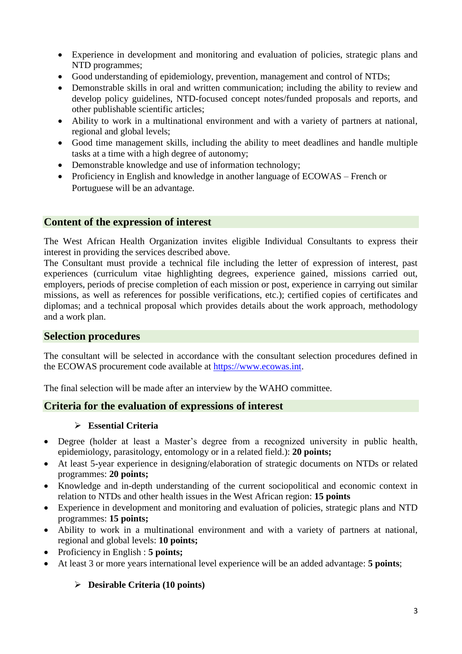- Experience in development and monitoring and evaluation of policies, strategic plans and NTD programmes;
- Good understanding of epidemiology, prevention, management and control of NTDs;
- Demonstrable skills in oral and written communication; including the ability to review and develop policy guidelines, NTD-focused concept notes/funded proposals and reports, and other publishable scientific articles;
- Ability to work in a multinational environment and with a variety of partners at national, regional and global levels;
- Good time management skills, including the ability to meet deadlines and handle multiple tasks at a time with a high degree of autonomy;
- Demonstrable knowledge and use of information technology;
- Proficiency in English and knowledge in another language of ECOWAS French or Portuguese will be an advantage.

## **Content of the expression of interest**

The West African Health Organization invites eligible Individual Consultants to express their interest in providing the services described above.

The Consultant must provide a technical file including the letter of expression of interest, past experiences (curriculum vitae highlighting degrees, experience gained, missions carried out, employers, periods of precise completion of each mission or post, experience in carrying out similar missions, as well as references for possible verifications, etc.); certified copies of certificates and diplomas; and a technical proposal which provides details about the work approach, methodology and a work plan.

#### **Selection procedures**

The consultant will be selected in accordance with the consultant selection procedures defined in the ECOWAS procurement code available at [https://www.ecowas.int.](https://www.ecowas.int/)

The final selection will be made after an interview by the WAHO committee.

## **Criteria for the evaluation of expressions of interest**

#### **Essential Criteria**

- Degree (holder at least a Master's degree from a recognized university in public health, epidemiology, parasitology, entomology or in a related field.): **20 points;**
- At least 5-year experience in designing/elaboration of strategic documents on NTDs or related programmes: **20 points;**
- Knowledge and in-depth understanding of the current sociopolitical and economic context in relation to NTDs and other health issues in the West African region: **15 points**
- Experience in development and monitoring and evaluation of policies, strategic plans and NTD programmes: **15 points;**
- Ability to work in a multinational environment and with a variety of partners at national, regional and global levels: **10 points;**
- Proficiency in English : **5 points;**
- At least 3 or more years international level experience will be an added advantage: **5 points**;

## **Desirable Criteria (10 points)**